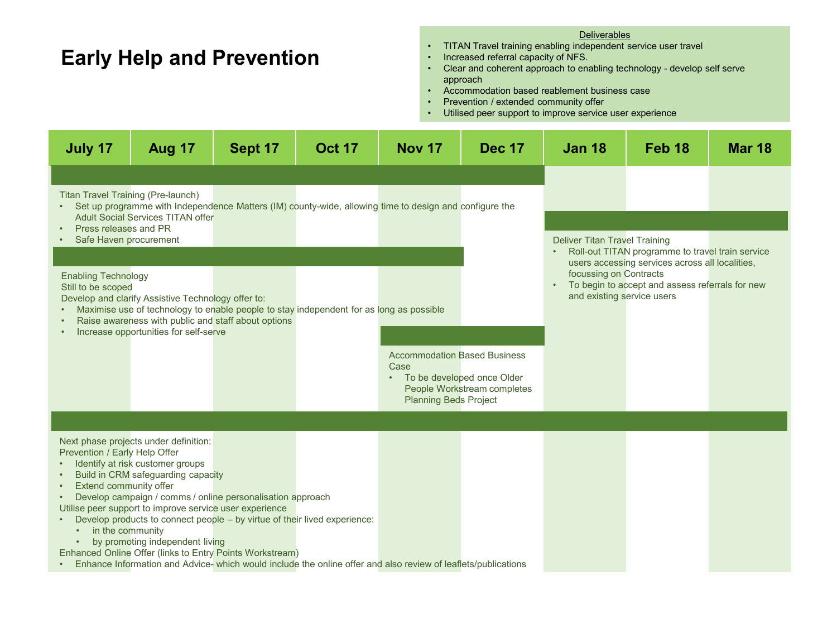### **Early Help and Prevention**

### Deliverables

- TITAN Travel training enabling independent service user travel
- Increased referral capacity of NFS.
- Clear and coherent approach to enabling technology develop self serve approach
- Accommodation based reablement business case
- Prevention / extended community offer
- Utilised peer support to improve service user experience

| July 17                                                                                                                                                                                                     | <b>Aug 17</b> | Sept 17 | <b>Oct 17</b> | <b>Nov 17</b>                        | <b>Dec 17</b>               | <b>Jan 18</b>                                                                                           | Feb <sub>18</sub> | <b>Mar 18</b> |  |  |
|-------------------------------------------------------------------------------------------------------------------------------------------------------------------------------------------------------------|---------------|---------|---------------|--------------------------------------|-----------------------------|---------------------------------------------------------------------------------------------------------|-------------------|---------------|--|--|
|                                                                                                                                                                                                             |               |         |               |                                      |                             |                                                                                                         |                   |               |  |  |
| Titan Travel Training (Pre-launch)<br>Set up programme with Independence Matters (IM) county-wide, allowing time to design and configure the<br><b>Adult Social Services TITAN offer</b>                    |               |         |               |                                      |                             |                                                                                                         |                   |               |  |  |
| Press releases and PR<br>Safe Haven procurement                                                                                                                                                             |               |         |               |                                      |                             | <b>Deliver Titan Travel Training</b>                                                                    |                   |               |  |  |
|                                                                                                                                                                                                             |               |         |               |                                      |                             | Roll-out TITAN programme to travel train service<br>users accessing services across all localities,     |                   |               |  |  |
| <b>Enabling Technology</b><br>Still to be scoped<br>Develop and clarify Assistive Technology offer to:                                                                                                      |               |         |               |                                      |                             | focussing on Contracts<br>To begin to accept and assess referrals for new<br>and existing service users |                   |               |  |  |
| Maximise use of technology to enable people to stay independent for as long as possible<br>Raise awareness with public and staff about options                                                              |               |         |               |                                      |                             |                                                                                                         |                   |               |  |  |
| Increase opportunities for self-serve                                                                                                                                                                       |               |         |               | <b>Accommodation Based Business</b>  |                             |                                                                                                         |                   |               |  |  |
|                                                                                                                                                                                                             |               |         |               | Case<br>• To be developed once Older | People Workstream completes |                                                                                                         |                   |               |  |  |
|                                                                                                                                                                                                             |               |         |               | <b>Planning Beds Project</b>         |                             |                                                                                                         |                   |               |  |  |
| Next phase projects under definition:                                                                                                                                                                       |               |         |               |                                      |                             |                                                                                                         |                   |               |  |  |
| Prevention / Early Help Offer<br>Identify at risk customer groups<br>Build in CRM safeguarding capacity                                                                                                     |               |         |               |                                      |                             |                                                                                                         |                   |               |  |  |
| Extend community offer<br>Develop campaign / comms / online personalisation approach<br>Utilise peer support to improve service user experience                                                             |               |         |               |                                      |                             |                                                                                                         |                   |               |  |  |
| Develop products to connect people – by virtue of their lived experience:<br>in the community<br>$\bullet$                                                                                                  |               |         |               |                                      |                             |                                                                                                         |                   |               |  |  |
| by promoting independent living<br>Enhanced Online Offer (links to Entry Points Workstream)<br>Enhance Information and Advice-which would include the online offer and also review of leaflets/publications |               |         |               |                                      |                             |                                                                                                         |                   |               |  |  |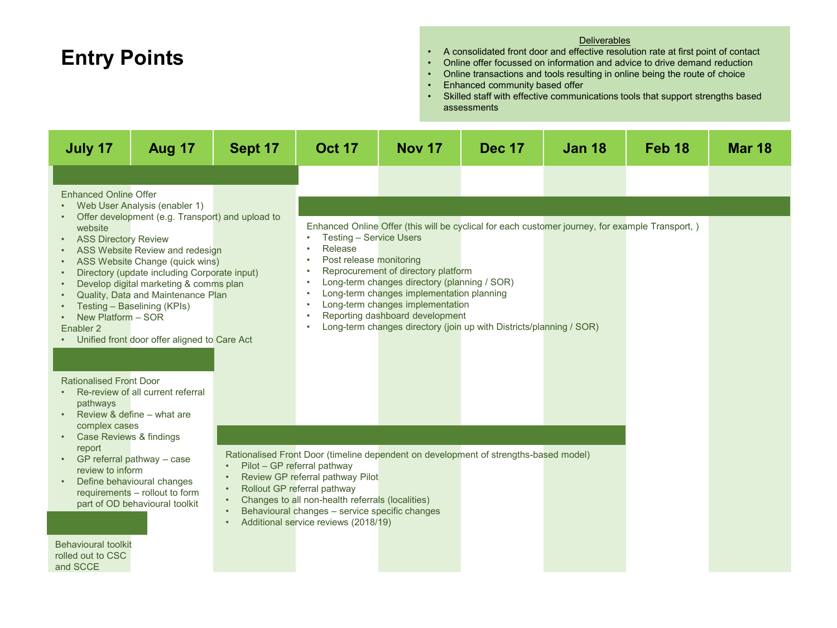# **Entry Points**

### **Deliverables**

- A consolidated front door and effective resolution rate at first point of contact
- Online offer focussed on information and advice to drive demand reduction
- Online transactions and tools resulting in online being the route of choice
- Enhanced community based offer
- Skilled staff with effective communications tools that support strengths based assessments

| <b>Aug 17</b><br>July 17                                                                                                                                                                                                                                                                                                                                                                                                                                                                                                                                                                                                                                                                                                                                | Sept 17                                                                                                                                                                   | <b>Oct 17</b>                                                                                                                                                                                                                      | <b>Nov 17</b>                                                                                                                                                                                                                                                                                                                                                          | <b>Dec 17</b> | <b>Jan 18</b>                                                                                   | Feb <sub>18</sub> | <b>Mar 18</b> |
|---------------------------------------------------------------------------------------------------------------------------------------------------------------------------------------------------------------------------------------------------------------------------------------------------------------------------------------------------------------------------------------------------------------------------------------------------------------------------------------------------------------------------------------------------------------------------------------------------------------------------------------------------------------------------------------------------------------------------------------------------------|---------------------------------------------------------------------------------------------------------------------------------------------------------------------------|------------------------------------------------------------------------------------------------------------------------------------------------------------------------------------------------------------------------------------|------------------------------------------------------------------------------------------------------------------------------------------------------------------------------------------------------------------------------------------------------------------------------------------------------------------------------------------------------------------------|---------------|-------------------------------------------------------------------------------------------------|-------------------|---------------|
|                                                                                                                                                                                                                                                                                                                                                                                                                                                                                                                                                                                                                                                                                                                                                         |                                                                                                                                                                           |                                                                                                                                                                                                                                    |                                                                                                                                                                                                                                                                                                                                                                        |               |                                                                                                 |                   |               |
| <b>Enhanced Online Offer</b><br>Web User Analysis (enabler 1)                                                                                                                                                                                                                                                                                                                                                                                                                                                                                                                                                                                                                                                                                           |                                                                                                                                                                           |                                                                                                                                                                                                                                    |                                                                                                                                                                                                                                                                                                                                                                        |               |                                                                                                 |                   |               |
| Offer development (e.g. Transport) and upload to<br>$\bullet$<br>website<br><b>ASS Directory Review</b><br>$\bullet$<br>ASS Website Review and redesign<br>$\bullet$<br>ASS Website Change (quick wins)<br>$\bullet$<br>Directory (update including Corporate input)<br>$\bullet$<br>Develop digital marketing & comms plan<br>$\bullet$<br>Quality, Data and Maintenance Plan<br>Testing - Baselining (KPIs)<br>New Platform - SOR<br>Enabler <sub>2</sub><br>Unified front door offer aligned to Care Act<br><b>Rationalised Front Door</b><br>Re-review of all current referral<br>pathways<br>Review & define - what are<br>$\bullet$<br>complex cases<br>Case Reviews & findings<br>$\bullet$<br>report<br>GP referral pathway - case<br>$\bullet$ |                                                                                                                                                                           | <b>Testing - Service Users</b><br>$\bullet$<br>Release<br>$\bullet$<br>Post release monitoring<br>$\bullet$<br>$\bullet$<br>$\bullet$<br>$\bullet$<br>$\bullet$<br>Pilot - GP referral pathway<br>Review GP referral pathway Pilot | Reprocurement of directory platform<br>Long-term changes directory (planning / SOR)<br>Long-term changes implementation planning<br>Long-term changes implementation<br>Reporting dashboard development<br>Long-term changes directory (join up with Districts/planning / SOR)<br>Rationalised Front Door (timeline dependent on development of strengths-based model) |               | Enhanced Online Offer (this will be cyclical for each customer journey, for example Transport,) |                   |               |
| requirements - rollout to form<br>part of OD behavioural toolkit<br>$\bullet$                                                                                                                                                                                                                                                                                                                                                                                                                                                                                                                                                                                                                                                                           | Rollout GP referral pathway<br>Changes to all non-health referrals (localities)<br>Behavioural changes - service specific changes<br>Additional service reviews (2018/19) |                                                                                                                                                                                                                                    |                                                                                                                                                                                                                                                                                                                                                                        |               |                                                                                                 |                   |               |
| <b>Behavioural toolkit</b><br>rolled out to CSC<br>and SCCE                                                                                                                                                                                                                                                                                                                                                                                                                                                                                                                                                                                                                                                                                             |                                                                                                                                                                           |                                                                                                                                                                                                                                    |                                                                                                                                                                                                                                                                                                                                                                        |               |                                                                                                 |                   |               |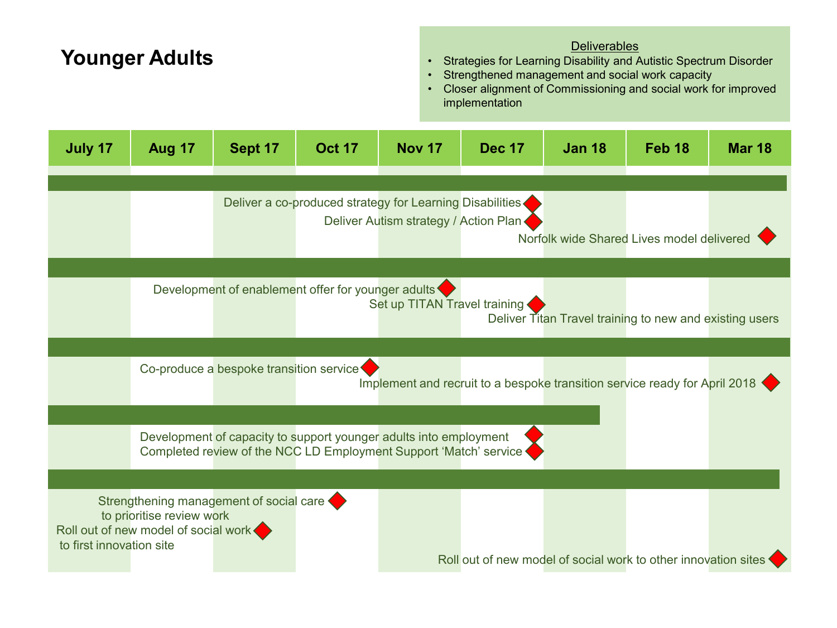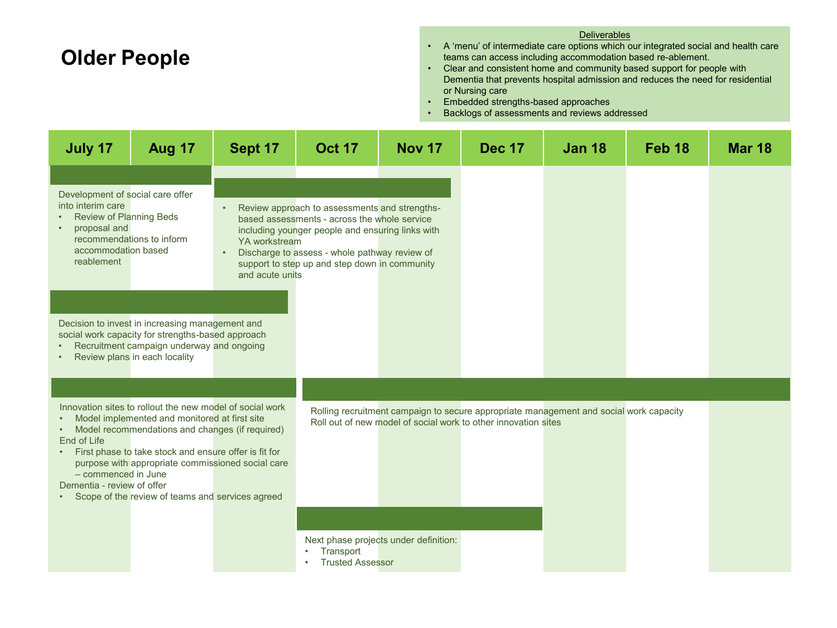## **Older People**

#### **Deliverables**

- A 'menu' of intermediate care options which our integrated social and health care teams can access including accommodation based re-ablement.
- Clear and consistent home and community based support for people with Dementia that prevents hospital admission and reduces the need for residential or Nursing care
- Embedded strengths-based approaches
- Backlogs of assessments and reviews addressed

| July 17                                                                                                                                                                                                                                                                                                                                                                                                                      | <b>Aug 17</b>                                                                                                                                                                      | Sept 17                          | <b>Oct 17</b>                                                                                                                                                                                                                                       | <b>Nov 17</b>                         | <b>Dec 17</b>                                                                                                                                            | <b>Jan 18</b> | Feb <sub>18</sub> | <b>Mar 18</b> |
|------------------------------------------------------------------------------------------------------------------------------------------------------------------------------------------------------------------------------------------------------------------------------------------------------------------------------------------------------------------------------------------------------------------------------|------------------------------------------------------------------------------------------------------------------------------------------------------------------------------------|----------------------------------|-----------------------------------------------------------------------------------------------------------------------------------------------------------------------------------------------------------------------------------------------------|---------------------------------------|----------------------------------------------------------------------------------------------------------------------------------------------------------|---------------|-------------------|---------------|
| Development of social care offer<br>into interim care<br><b>Review of Planning Beds</b><br>proposal and<br>accommodation based<br>reablement                                                                                                                                                                                                                                                                                 | recommendations to inform                                                                                                                                                          | YA workstream<br>and acute units | Review approach to assessments and strengths-<br>based assessments - across the whole service<br>including younger people and ensuring links with<br>Discharge to assess - whole pathway review of<br>support to step up and step down in community |                                       |                                                                                                                                                          |               |                   |               |
|                                                                                                                                                                                                                                                                                                                                                                                                                              | Decision to invest in increasing management and<br>social work capacity for strengths-based approach<br>Recruitment campaign underway and ongoing<br>Review plans in each locality |                                  |                                                                                                                                                                                                                                                     |                                       |                                                                                                                                                          |               |                   |               |
| Innovation sites to rollout the new model of social work<br>Model implemented and monitored at first site<br>Model recommendations and changes (if required)<br>$\bullet$<br>End of Life<br>First phase to take stock and ensure offer is fit for<br>$\bullet$<br>purpose with appropriate commissioned social care<br>- commenced in June<br>Dementia - review of offer<br>Scope of the review of teams and services agreed |                                                                                                                                                                                    |                                  |                                                                                                                                                                                                                                                     |                                       | Rolling recruitment campaign to secure appropriate management and social work capacity<br>Roll out of new model of social work to other innovation sites |               |                   |               |
|                                                                                                                                                                                                                                                                                                                                                                                                                              |                                                                                                                                                                                    |                                  | Transport<br><b>Trusted Assessor</b>                                                                                                                                                                                                                | Next phase projects under definition: |                                                                                                                                                          |               |                   |               |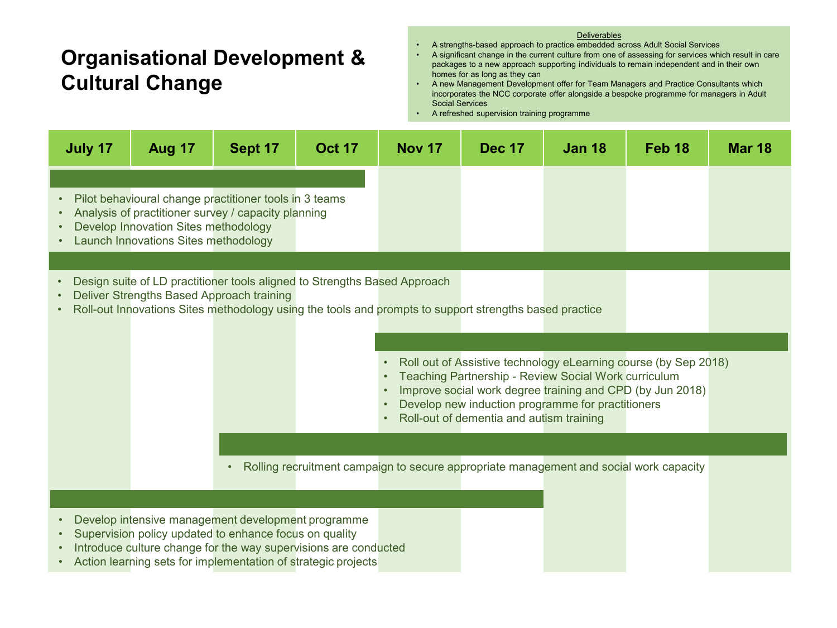## **Organisational Development & Cultural Change**

#### **Deliverables**

- A strengths-based approach to practice embedded across Adult Social Services<br>• A significant change in the current culture from one of assessing for services whi
- A significant change in the current culture from one of assessing for services which result in care packages to a new approach supporting individuals to remain independent and in their own homes for as long as they can

• A new Management Development offer for Team Managers and Practice Consultants which incorporates the NCC corporate offer alongside a bespoke programme for managers in Adult Social Services

• A refreshed supervision training programme

| July 17                | <b>Aug 17</b>                                                                | Sept 17                                                                                                                   | <b>Oct 17</b>                                                             | <b>Nov 17</b>                                                                                          | <b>Dec 17</b>                                                                                             | <b>Jan 18</b> | Feb <sub>18</sub>                                                                                                            | <b>Mar 18</b> |
|------------------------|------------------------------------------------------------------------------|---------------------------------------------------------------------------------------------------------------------------|---------------------------------------------------------------------------|--------------------------------------------------------------------------------------------------------|-----------------------------------------------------------------------------------------------------------|---------------|------------------------------------------------------------------------------------------------------------------------------|---------------|
| $\bullet$<br>$\bullet$ | Develop Innovation Sites methodology<br>Launch Innovations Sites methodology | Pilot behavioural change practitioner tools in 3 teams<br>Analysis of practitioner survey / capacity planning             |                                                                           |                                                                                                        |                                                                                                           |               |                                                                                                                              |               |
| $\bullet$<br>$\bullet$ | Deliver Strengths Based Approach training                                    |                                                                                                                           | Design suite of LD practitioner tools aligned to Strengths Based Approach | Roll-out Innovations Sites methodology using the tools and prompts to support strengths based practice | Teaching Partnership - Review Social Work curriculum<br>Develop new induction programme for practitioners |               | Roll out of Assistive technology eLearning course (by Sep 2018)<br>Improve social work degree training and CPD (by Jun 2018) |               |
| $\bullet$<br>$\bullet$ |                                                                              | $\bullet$<br>Develop intensive management development programme<br>Supervision policy updated to enhance focus on quality | Introduce culture change for the way supervisions are conducted           | Rolling recruitment campaign to secure appropriate management and social work capacity                 | Roll-out of dementia and autism training                                                                  |               |                                                                                                                              |               |

• Action learning sets for implementation of strategic projects